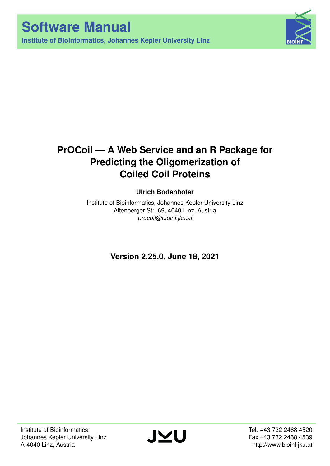**Institute of Bioinformatics, Johannes Kepler University Linz**



# **PrOCoil — A Web Service and an R Package for Predicting the Oligomerization of Coiled Coil Proteins**

# **Ulrich Bodenhofer**

Institute of Bioinformatics, Johannes Kepler University Linz Altenberger Str. 69, 4040 Linz, Austria *[procoil@bioinf.jku.at](mailto:procoil@bioinf.jku.at)*

**Version 2.25.0, June 18, 2021**

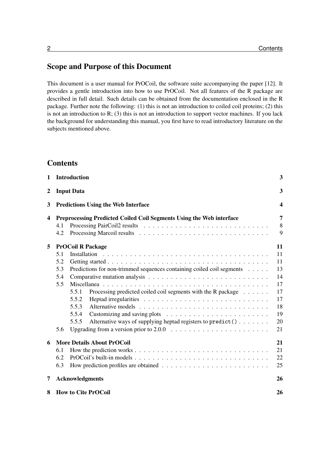# Scope and Purpose of this Document

This document is a user manual for PrOCoil, the software suite accompanying the paper [\[12\]](#page-26-0). It provides a gentle introduction into how to use PrOCoil. Not all features of the R package are described in full detail. Such details can be obtained from the documentation enclosed in the R package. Further note the following: (1) this is not an introduction to coiled coil proteins; (2) this is not an introduction to  $R$ ; (3) this is not an introduction to support vector machines. If you lack the background for understanding this manual, you first have to read introductory literature on the subjects mentioned above.

# **Contents**

| 1                |                                   | <b>Introduction</b>                                                                                       | 3                |  |  |
|------------------|-----------------------------------|-----------------------------------------------------------------------------------------------------------|------------------|--|--|
| $\boldsymbol{2}$ |                                   | <b>Input Data</b>                                                                                         | 3                |  |  |
| 3                |                                   | <b>Predictions Using the Web Interface</b>                                                                | $\boldsymbol{4}$ |  |  |
| $\boldsymbol{4}$ |                                   | Preprocessing Predicted Coiled Coil Segments Using the Web interface                                      | 7                |  |  |
|                  | 4.1                               |                                                                                                           | $8\,$            |  |  |
|                  | 4.2                               |                                                                                                           | 9                |  |  |
| 5                | <b>PrOCoil R Package</b>          |                                                                                                           |                  |  |  |
|                  | 5.1                               |                                                                                                           | 11               |  |  |
|                  | 5.2                               |                                                                                                           | 11               |  |  |
|                  | 5.3                               | Predictions for non-trimmed sequences containing coiled coil segments                                     | 13               |  |  |
|                  | 5.4                               |                                                                                                           | 14               |  |  |
|                  | 5.5                               |                                                                                                           | 17               |  |  |
|                  |                                   | Processing predicted coiled coil segments with the R package<br>5.5.1                                     | 17               |  |  |
|                  |                                   | 5.5.2                                                                                                     | 17               |  |  |
|                  |                                   | 5.5.3                                                                                                     | 18               |  |  |
|                  |                                   | 5.5.4                                                                                                     | 19               |  |  |
|                  |                                   | Alternative ways of supplying heptad registers to predict ()<br>5.5.5                                     | 20               |  |  |
|                  | 5.6                               |                                                                                                           | 21               |  |  |
| 6                | <b>More Details About PrOCoil</b> |                                                                                                           |                  |  |  |
|                  | 6.1                               |                                                                                                           | 21               |  |  |
|                  | 6.2                               | $ProCoil's built-in models \dots \dots \dots \dots \dots \dots \dots \dots \dots \dots \dots \dots \dots$ | 22               |  |  |
|                  | 6.3                               |                                                                                                           | 25               |  |  |
| 7                |                                   | <b>Acknowledgments</b>                                                                                    | 26               |  |  |
| 8                |                                   | <b>How to Cite PrOCoil</b>                                                                                | 26               |  |  |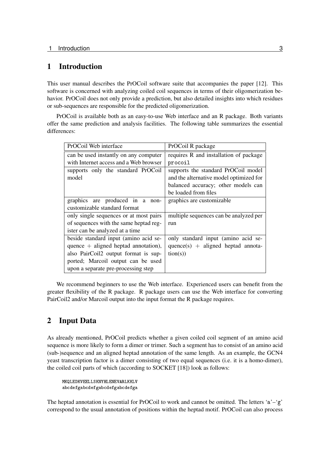# <span id="page-2-0"></span>1 Introduction

This user manual describes the PrOCoil software suite that accompanies the paper [\[12\]](#page-26-0). This software is concerned with analyzing coiled coil sequences in terms of their oligomerization behavior. PrOCoil does not only provide a prediction, but also detailed insights into which residues or sub-sequences are responsible for the predicted oligomerization.

PrOCoil is available both as an easy-to-use Web interface and an R package. Both variants offer the same prediction and analysis facilities. The following table summarizes the essential differences:

| PrOCoil Web interface                  | PrOCoil R package                       |
|----------------------------------------|-----------------------------------------|
| can be used instantly on any computer  | requires R and installation of package  |
| with Internet access and a Web browser | procoil                                 |
| supports only the standard PrOCoil     | supports the standard PrOCoil model     |
| model                                  | and the alternative model optimized for |
|                                        | balanced accuracy; other models can     |
|                                        | be loaded from files                    |
| graphics are produced in a non-        | graphics are customizable               |
| customizable standard format           |                                         |
| only single sequences or at most pairs | multiple sequences can be analyzed per  |
| of sequences with the same heptad reg- | run                                     |
| ister can be analyzed at a time        |                                         |
| beside standard input (amino acid se-  | only standard input (amino acid se-     |
| quence $+$ aligned heptad annotation), | $quence(s) + aligned$ heptad annota-    |
| also PairCoil2 output format is sup-   | tion(s))                                |
| ported; Marcoil output can be used     |                                         |
| upon a separate pre-processing step    |                                         |

We recommend beginners to use the Web interface. Experienced users can benefit from the greater flexibility of the R package. R package users can use the Web interface for converting PairCoil2 and/or Marcoil output into the input format the R package requires.

# <span id="page-2-1"></span>2 Input Data

As already mentioned, PrOCoil predicts whether a given coiled coil segment of an amino acid sequence is more likely to form a dimer or trimer. Such a segment has to consist of an amino acid (sub-)sequence and an aligned heptad annotation of the same length. As an example, the GCN4 yeast transcription factor is a dimer consisting of two equal sequences (i.e. it is a homo-dimer), the coiled coil parts of which (according to SOCKET [\[18\]](#page-26-1)) look as follows:

```
MKQLEDKVEELLSKNYHLENEVARLKKLV
abcdefgabcdefgabcdefgabcdefga
```
The heptad annotation is essential for PrOCoil to work and cannot be omitted. The letters 'a'–'g' correspond to the usual annotation of positions within the heptad motif. PrOCoil can also process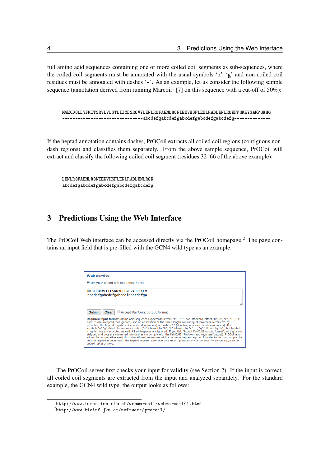full amino acid sequences containing one or more coiled coil segments as sub-sequences, where the coiled coil segments must be annotated with the usual symbols 'a'–'g' and non-coiled coil residues must be annotated with dashes '-'. As an example, let us consider the following sample sequence (annotation derived from running Marcoil<sup>[1](#page-3-1)</sup> [\[7\]](#page-26-2) on this sequence with a cut-off of 50%):

MGECDQLLVFMITSRVLVLSTLIIMDSRQVYLENLRQFAENLRQNIENVHSFLENLRADLENLRQKFPGKWYSAMPGRHG -------------------------------abcdefgabcdefgabcdefgabcdefgabcdefg--------------

If the heptad annotation contains dashes, PrOCoil extracts all coiled coil regions (contiguous nondash regions) and classifies them separately. From the above sample sequence, PrOCoil will extract and classify the following coiled coil segment (residues 32–66 of the above example):

LENLRQFAENLRQNIENVHSFLENLRADLENLRQK abcdefgabcdefgabcdefgabcdefgabcdefg

# <span id="page-3-0"></span>3 Predictions Using the Web Interface

The PrOCoil Web interface can be accessed directly via the PrOCoil homepage.<sup>[2](#page-3-2)</sup> The page contains an input field that is pre-filled with the GCN4 wild type as an example:

| <b>Web service</b>                                                                                                                                                                                                                                                                                                                                                                                                                                                                                                                                                                                                                                                                                                                                                                                                                                                                                                                                                                                                                                                                  |
|-------------------------------------------------------------------------------------------------------------------------------------------------------------------------------------------------------------------------------------------------------------------------------------------------------------------------------------------------------------------------------------------------------------------------------------------------------------------------------------------------------------------------------------------------------------------------------------------------------------------------------------------------------------------------------------------------------------------------------------------------------------------------------------------------------------------------------------------------------------------------------------------------------------------------------------------------------------------------------------------------------------------------------------------------------------------------------------|
| Enter your coiled coil sequence here:                                                                                                                                                                                                                                                                                                                                                                                                                                                                                                                                                                                                                                                                                                                                                                                                                                                                                                                                                                                                                                               |
| MKOLEDKVEELLSKNYHLENEVARLKKLV<br>abcdefgabcdefgabcdefgabcdefga                                                                                                                                                                                                                                                                                                                                                                                                                                                                                                                                                                                                                                                                                                                                                                                                                                                                                                                                                                                                                      |
| Accept PairCoil2 output format<br>Submit<br>Clear<br>Required input format: amino acid sequence (uppercase letters "A" - "Z"; non-standard letters "B", "J", "O", "U", "X"<br>and "Z" are accepted, but ignored) and an annotation of the same length consisting of lowercase letters "a"-"g"<br>(denoting the heptad registers of coiled coil segments) or dashes "-" (denoting non-coiled coil amino acids). The<br>symbols "a"-"g" should be in proper order ("a" followed by "b", "b" followed by "c", , "g" followed by "a"), but heptad<br>irregularities are accepted as well. All whitespaces are ignored. If you tick "Accept PairCoil2 output format", all digits are<br>stripped and dots are converted into dashes (to comply with the PairCoil2 "Positions and registers"output). PrOCoil also<br>allows for comparative analysis of two aligned sequences with a common heptad register. In order to do that, supply the<br>second sequence underneath the heptad register. Only one data record (sequence + annotation [+ sequence]) can be<br>submitted at at time. |

The PrOCoil server first checks your input for validity (see Section [2\)](#page-2-1). If the input is correct, all coiled coil segments are extracted from the input and analyzed separately. For the standard example, the GCN4 wild type, the output looks as follows:

<span id="page-3-1"></span> $^{\rm l}$ <http://www.isrec.isb-sib.ch/webmarcoil/webmarcoilC1.html>

<span id="page-3-2"></span> $^2$ <http://www.bioinf.jku.at/software/procoil/>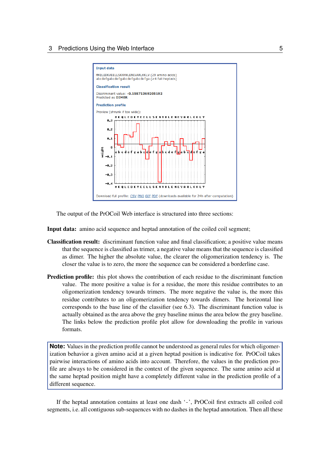

The output of the PrOCoil Web interface is structured into three sections:

Input data: amino acid sequence and heptad annotation of the coiled coil segment;

- Classification result: discriminant function value and final classification; a positive value means that the sequence is classified as trimer, a negative value means that the sequence is classified as dimer. The higher the absolute value, the clearer the oligomerization tendency is. The closer the value is to zero, the more the sequence can be considered a borderline case.
- Prediction profile: this plot shows the contribution of each residue to the discriminant function value. The more positive a value is for a residue, the more this residue contributes to an oligomerization tendency towards trimers. The more negative the value is, the more this residue contributes to an oligomerization tendency towards dimers. The horizontal line corresponds to the base line of the classifier (see [6.3\)](#page-24-0). The discriminant function value is actually obtained as the area above the grey baseline minus the area below the grey baseline. The links below the prediction profile plot allow for downloading the profile in various formats.

**Note:** Values in the prediction profile cannot be understood as general rules for which oligomerization behavior a given amino acid at a given heptad position is indicative for. PrOCoil takes pairwise interactions of amino acids into account. Therefore, the values in the prediction profile are always to be considered in the context of the given sequence. The same amino acid at the same heptad position might have a completely different value in the prediction profile of a different sequence.

If the heptad annotation contains at least one dash '-', PrOCoil first extracts all coiled coil segments, i.e. all contiguous sub-sequences with no dashes in the heptad annotation. Then all these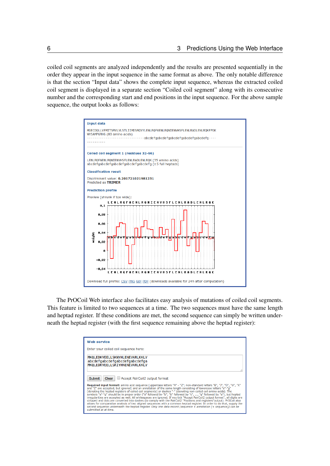coiled coil segments are analyzed independently and the results are presented sequentially in the order they appear in the input sequence in the same format as above. The only notable difference is that the section "Input data" shows the complete input sequence, whereas the extracted coiled coil segment is displayed in a separate section "Coiled coil segment" along with its consecutive number and the corresponding start and end positions in the input sequence. For the above sample sequence, the output looks as follows:



The PrOCoil Web interface also facilitates easy analysis of mutations of coiled coil segments. This feature is limited to two sequences at a time. The two sequences must have the same length and heptad register. If these conditions are met, the second sequence can simply be written underneath the heptad register (with the first sequence remaining above the heptad register):

| <b>Web service</b>                                                                                                                                                                                                                                                                                                                                                                                                                                                                                                                                                                                                                                                                                                                                                                                                                                                                                                                                                                                                                                                                         |
|--------------------------------------------------------------------------------------------------------------------------------------------------------------------------------------------------------------------------------------------------------------------------------------------------------------------------------------------------------------------------------------------------------------------------------------------------------------------------------------------------------------------------------------------------------------------------------------------------------------------------------------------------------------------------------------------------------------------------------------------------------------------------------------------------------------------------------------------------------------------------------------------------------------------------------------------------------------------------------------------------------------------------------------------------------------------------------------------|
| Enter your coiled coil sequence here:                                                                                                                                                                                                                                                                                                                                                                                                                                                                                                                                                                                                                                                                                                                                                                                                                                                                                                                                                                                                                                                      |
| MKOLEDKVEELLSKNYHLENEVARLKKLV<br>abcdefgabcdefgabcdefgabcdefga<br>MKOLEDKVEELLSKIYHNENEVARLKKLV                                                                                                                                                                                                                                                                                                                                                                                                                                                                                                                                                                                                                                                                                                                                                                                                                                                                                                                                                                                            |
| Accept PairCoil2 output format<br><b>Submit</b><br>Clear<br>Required input format: amino acid sequence (uppercase letters "A" - "Z"; non-standard letters "B", "J", "O", "U", "X"<br>and "Z" are accepted, but ignored) and an annotation of the same length consisting of lowercase letters "a"-"g"<br>(denoting the heptad registers of coiled coil segments) or dashes "-" (denoting non-coiled coil amino acids). The<br>symbols "a"-"q" should be in proper order ("a" followed by "b", "b" followed by "c", , "q" followed by "a"), but heptad<br>irregularities are accepted as well. All whitespaces are ignored. If you tick "Accept PairCoil2 output format", all digits are<br>stripped and dots are converted into dashes (to comply with the PairCoil2 "Positions and registers"output). PrOCoil also<br>allows for comparative analysis of two aligned sequences with a common heptad register. In order to do that, supply the<br>second sequence underneath the heptad register. Only one data record (sequence + annotation [+ sequence]) can be<br>submitted at at time. |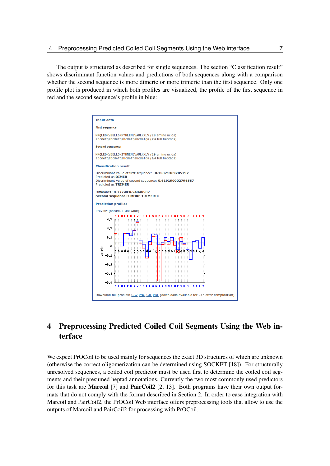The output is structured as described for single sequences. The section "Classification result" shows discriminant function values and predictions of both sequences along with a comparison whether the second sequence is more dimeric or more trimeric than the first sequence. Only one profile plot is produced in which both profiles are visualized, the profile of the first sequence in red and the second sequence's profile in blue:



# <span id="page-6-0"></span>4 Preprocessing Predicted Coiled Coil Segments Using the Web interface

We expect PrOCoil to be used mainly for sequences the exact 3D structures of which are unknown (otherwise the correct oligomerization can be determined using SOCKET [\[18\]](#page-26-1)). For structurally unresolved sequences, a coiled coil predictor must be used first to determine the coiled coil segments and their presumed heptad annotations. Currently the two most commonly used predictors for this task are **Marcoil** [\[7\]](#page-26-2) and **PairCoil2** [\[2,](#page-25-2) [13\]](#page-26-3). Both programs have their own output formats that do not comply with the format described in Section [2.](#page-2-1) In order to ease integration with Marcoil and PairCoil2, the PrOCoil Web interface offers preprocessing tools that allow to use the outputs of Marcoil and PairCoil2 for processing with PrOCoil.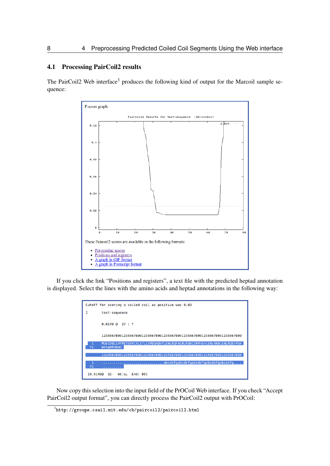## <span id="page-7-0"></span>4.1 Processing PairCoil2 results

The PairCoil2 Web interface<sup>[3](#page-7-1)</sup> produces the following kind of output for the Marcoil sample sequence:



If you click the link "Positions and registers", a text file with the predicted heptad annotation is displayed. Select the lines with the amino acids and heptad annotations in the following way:

| Cutoff for scoring a coiled coil as positive was 0.03                                                  |
|--------------------------------------------------------------------------------------------------------|
| 1<br>test-sequence                                                                                     |
| $0.0149$ $0.37$ : f                                                                                    |
| 1234567890123456789012345678901234567890123456789012345678901234567890                                 |
| MGECDOLLVFMITSRVLVLSTLIIMDSROVYLENLROFAENLRONIENVHSFLENLRADLENLROKFPGK<br>п<br><b>WYSAMPGRHG</b><br>71 |
| 1234567890123456789012345678901234567890123456789012345678901234567890                                 |
| abcdefqabcdefqabcdefqabcdefqabcdefq<br>71<br>.                                                         |
| $[0.01490 \t 32 - 66:a$ : End: 80]                                                                     |

Now copy this selection into the input field of the PrOCoil Web interface. If you check "Accept PairCoil2 output format", you can directly process the PairCoil2 output with PrOCoil:

<span id="page-7-1"></span> $^3$ http://groups.csail.mit.edu/cb/paircoil $2/\mathtt{pair}$ coil $2$ .html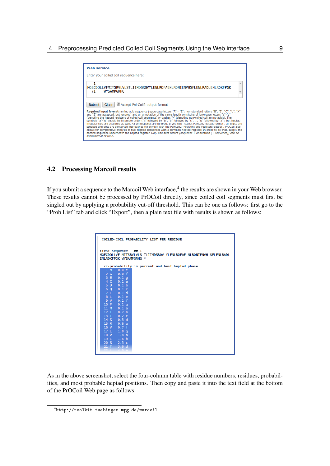

#### <span id="page-8-0"></span>4.2 Processing Marcoil results

If you submit a sequence to the Marcoil Web interface,<sup>[4](#page-8-1)</sup> the results are shown in your Web browser. These results cannot be processed by PrOCoil directly, since coiled coil segments must first be singled out by applying a probability cut-off threshold. This can be one as follows: first go to the "Prob List" tab and click "Export", then a plain text file with results is shown as follows:

| COILED-COIL PROBABILITY LIST PER RESIDUE                                                                                                                                                                                                                                                                                                                               |  |  |  |  |  |  |  |  |
|------------------------------------------------------------------------------------------------------------------------------------------------------------------------------------------------------------------------------------------------------------------------------------------------------------------------------------------------------------------------|--|--|--|--|--|--|--|--|
| >test-sequence ## 1<br>MGECDQLLVF MITSRVLVLS TLIIMDSRQV YLENLRQFAE NLRQNIENVH SFLENLRADL<br>ENLROKFPGK WYSAMPGRHG *                                                                                                                                                                                                                                                    |  |  |  |  |  |  |  |  |
| cc-probability in percent and best heptad phase<br>1 M<br>0.0 e<br>2 G 0.0 f<br>3 E 0.1 g<br>4 C 0.1 a<br>5 D 0.1 b<br>6 Q 0.1 c<br>7 L 0.1 d<br>8 L 0.1 e<br>9 V 0.1 f<br>10 F 0.1 g<br>11 M 0.1 a<br>12 I 0.2 b<br>13 T $0.2 c$<br>$14S$ 0.3 d<br>15 R 0.6 e<br>16 V 0.7 f<br>17 L 1.0 q<br>18 V 1.4 a<br>19 L 1.6 b<br>20 S 2.3 c<br>21 T 3.0 d<br>$22 - 1$<br>4.0e |  |  |  |  |  |  |  |  |

As in the above screenshot, select the four-column table with residue numbers, residues, probabilities, and most probable heptad positions. Then copy and paste it into the text field at the bottom of the PrOCoil Web page as follows:

<span id="page-8-1"></span><sup>4</sup> <http://toolkit.tuebingen.mpg.de/marcoil>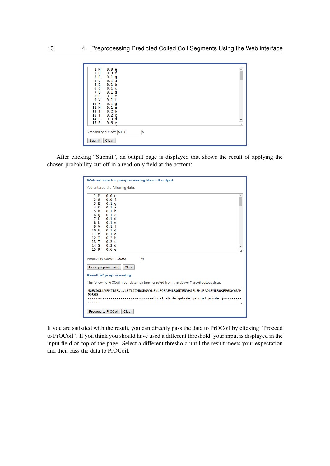

After clicking "Submit", an output page is displayed that shows the result of applying the chosen probability cut-off in a read-only field at the bottom:

| Web service for pre-processing Marcoil output                                                                                                                                                                                                                                                                         |  |  |  |  |  |  |
|-----------------------------------------------------------------------------------------------------------------------------------------------------------------------------------------------------------------------------------------------------------------------------------------------------------------------|--|--|--|--|--|--|
| You entered the following data:                                                                                                                                                                                                                                                                                       |  |  |  |  |  |  |
| 1 M<br>0.0 e<br>0.0 f<br>G<br>2<br>3 E<br>0.1q<br>C<br>0.1a<br>4<br>0.1 <sub>b</sub><br>D<br>5.<br>0.1c<br>0<br>6<br>L<br>0.1 <sub>d</sub><br>7<br>L<br>0.1e<br>8<br>0.1 f<br>9 V<br>0.1 <sub>q</sub><br>10 F<br>0.1a<br>11 M<br>0.2 <sub>b</sub><br>12 I<br>0.2c<br>13T<br>0.3 <sub>d</sub><br>14 S<br>15 R<br>0.6 e |  |  |  |  |  |  |
| Probability cut-off: 50.00<br>$\frac{9}{6}$<br>Redo preprocessing<br>Clear                                                                                                                                                                                                                                            |  |  |  |  |  |  |
| <b>Result of preprocessing</b>                                                                                                                                                                                                                                                                                        |  |  |  |  |  |  |
| The following PrOCoil input data has been created from the above Marcoil output data:                                                                                                                                                                                                                                 |  |  |  |  |  |  |
| MGECDQLLVFMITSRVLVLSTLIIMDSRQVYLENLRQFAENLRQNIENVHSFLENLRADLENLRQKFPGKWYSAM<br><b>PGRHG</b><br>--------abcdefgabcdefgabcdefgabcdefgabcdefg----------                                                                                                                                                                  |  |  |  |  |  |  |
| Proceed to PrOCoil<br>Clear                                                                                                                                                                                                                                                                                           |  |  |  |  |  |  |

If you are satisfied with the result, you can directly pass the data to PrOCoil by clicking "Proceed to PrOCoil". If you think you should have used a different threshold, your input is displayed in the input field on top of the page. Select a different threshold until the result meets your expectation and then pass the data to PrOCoil.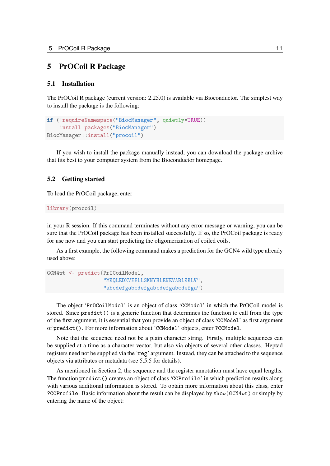# <span id="page-10-0"></span>5 PrOCoil R Package

# <span id="page-10-1"></span>5.1 Installation

The PrOCoil R package (current version: 2.25.0) is available via Bioconductor. The simplest way to install the package is the following:

```
if (!requireNamespace("BiocManager", quietly=TRUE))
    install.packages("BiocManager")
BiocManager::install("procoil")
```
If you wish to install the package manually instead, you can download the package archive that fits best to your computer system from the Bioconductor homepage.

# <span id="page-10-2"></span>5.2 Getting started

To load the PrOCoil package, enter

```
library(procoil)
```
in your R session. If this command terminates without any error message or warning, you can be sure that the PrOCoil package has been installed successfully. If so, the PrOCoil package is ready for use now and you can start predicting the oligomerization of coiled coils.

As a first example, the following command makes a prediction for the GCN4 wild type already used above:

```
GCN4wt <- predict(PrOCoilModel,
                  "MKQLEDKVEELLSKNYHLENEVARLKKLV",
                  "abcdefgabcdefgabcdefgabcdefga")
```
The object 'PrOCoilModel' is an object of class 'CCModel' in which the PrOCoil model is stored. Since predict() is a generic function that determines the function to call from the type of the first argument, it is essential that you provide an object of class 'CCModel' as first argument of predict(). For more information about 'CCModel' objects, enter ?CCModel.

Note that the sequence need not be a plain character string. Firstly, multiple sequences can be supplied at a time as a character vector, but also via objects of several other classes. Heptad registers need not be supplied via the 'reg' argument. Instead, they can be attached to the sequence objects via attributes or metadata (see [5.5.5](#page-19-0) for details).

As mentioned in Section [2,](#page-2-1) the sequence and the register annotation must have equal lengths. The function predict() creates an object of class 'CCProfile' in which prediction results along with various additional information is stored. To obtain more information about this class, enter ?CCProfile. Basic information about the result can be displayed by show(GCN4wt) or simply by entering the name of the object: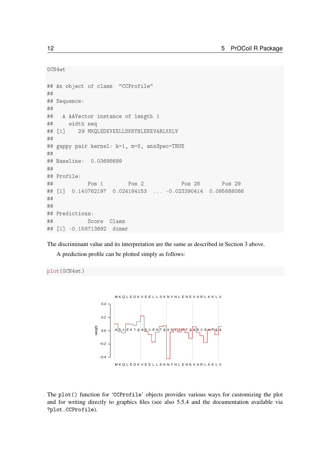GCN4wt

```
## An object of class "CCProfile"
##
## Sequence:
##
## A AAVector instance of length 1
## width seq
## [1] 29 MKQLEDKVEELLSKNYHLENEVARLKKLV
##
## gappy pair kernel: k=1, m=5, annSpec=TRUE
##
## Baseline: 0.03698699
##
## Profile:
## Pos 1 Pos 2 Pos 28 Pos 29
## [1] 0.140762197 0.024184153 ... -0.023390414 0.095688066
##
##
## Predictions:
## Score Class
## [1] -0.158713692 dimer
```
The discriminant value and its interpretation are the same as described in Section [3](#page-3-0) above.

A prediction profile can be plotted simply as follows:

plot(GCN4wt)



The plot() function for 'CCProfile' objects provides various ways for customizing the plot and for writing directly to graphics files (see also [5.5.4](#page-18-0) and the documentation available via ?plot.CCProfile).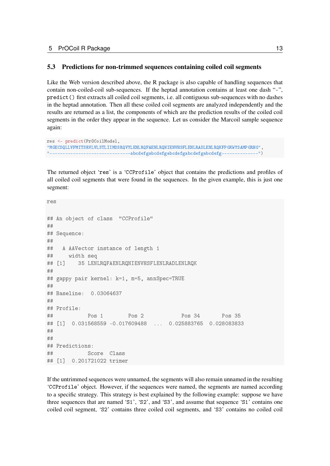#### <span id="page-12-0"></span>5.3 Predictions for non-trimmed sequences containing coiled coil segments

Like the Web version described above, the R package is also capable of handling sequences that contain non-coiled-coil sub-sequences. If the heptad annotation contains at least one dash "-", predict() first extracts all coiled coil segments, i.e. all contiguous sub-sequences with no dashes in the heptad annotation. Then all these coiled coil segments are analyzed independently and the results are returned as a list, the components of which are the prediction results of the coiled coil segments in the order they appear in the sequence. Let us consider the Marcoil sample sequence again:

```
res <- predict(PrOCoilModel,
"MGECDQLLVFMITSRVLVLSTLIIMDSRQVYLENLRQFAENLRQNIENVHSFLENLRADLENLRQKFPGKWYSAMPGRHG",
"-------------------------------abcdefgabcdefgabcdefgabcdefgabcdefg--------------")
```
The returned object 'res' is a 'CCProfile' object that contains the predictions and profiles of all coiled coil segments that were found in the sequences. In the given example, this is just one segment:

res ## An object of class "CCProfile" ## ## Sequence: ## ## A AAVector instance of length 1 ## width seq ## [1] 35 LENLRQFAENLRQNIENVHSFLENLRADLENLRQK ## ## gappy pair kernel: k=1, m=5, annSpec=TRUE ## ## Baseline: 0.03064637 ## ## Profile: ## Pos 1 Pos 2 Pos 34 Pos 35 ## [1] 0.031568559 -0.017609488 ... 0.025883765 0.028083833 ## ## ## Predictions: ## Score Class ## [1] 0.201721022 trimer

If the untrimmed sequences were unnamed, the segments will also remain unnamed in the resulting 'CCProfile' object. However, if the sequences were named, the segments are named according to a specific strategy. This strategy is best explained by the following example: suppose we have three sequences that are named 'S1', 'S2', and 'S3', and assume that sequence 'S1' contains one coiled coil segment, 'S2' contains three coiled coil segments, and 'S3' contains no coiled coil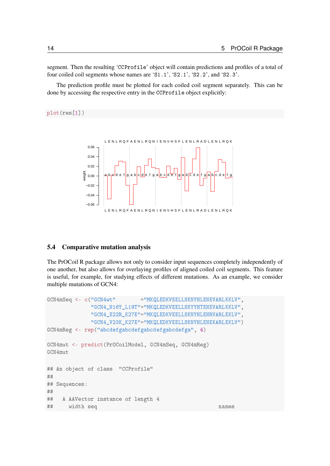segment. Then the resulting 'CCProfile' object will contain predictions and profiles of a total of four coiled coil segments whose names are 'S1.1', 'S2.1', 'S2.2', and 'S2.3'.

The prediction profile must be plotted for each coiled coil segment separately. This can be done by accessing the respective entry in the CCProfile object explicitly:

#### plot(res[1])



# <span id="page-13-0"></span>5.4 Comparative mutation analysis

The PrOCoil R package allows not only to consider input sequences completely independently of one another, but also allows for overlaying profiles of aligned coiled coil segments. This feature is useful, for example, for studying effects of different mutations. As an example, we consider multiple mutations of GCN4:

```
GCN4mSeq <- c("GCN4wt" ="MKQLEDKVEELLSKNYHLENEVARLKKLV",
             "GCN4_N16Y_L19T"="MKQLEDKVEELLSKYYHTENEVARLKKLV",
             "GCN4_E22R_K27E"="MKQLEDKVEELLSKNYHLENRVARLEKLV",
             "GCN4_V23K_K27E"="MKQLEDKVEELLSKNYHLENEKARLEKLV")
GCN4mReg <- rep("abcdefgabcdefgabcdefgabcdefga", 4)
GCN4mut <- predict(PrOCoilModel, GCN4mSeq, GCN4mReg)
GCN4mut
## An object of class "CCProfile"
##
## Sequences:
##
## A AAVector instance of length 4
## width seq names
```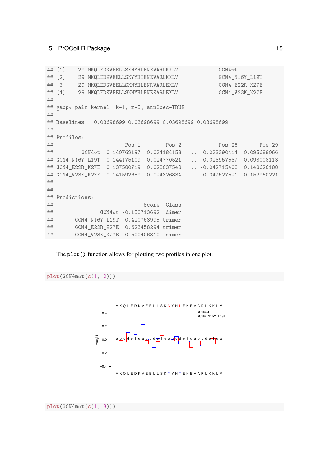```
## [1] 29 MKQLEDKVEELLSKNYHLENEVARLKKLV GCN4wt
## [2] 29 MKQLEDKVEELLSKYYHTENEVARLKKLV GCN4 N16Y L19T
## [3] 29 MKQLEDKVEELLSKNYHLENRVARLEKLV GCN4_E22R_K27E
## [4] 29 MKQLEDKVEELLSKNYHLENEKARLEKLV GCN4_V23K_K27E
##
## gappy pair kernel: k=1, m=5, annSpec=TRUE
##
## Baselines: 0.03698699 0.03698699 0.03698699 0.03698699
##
## Profiles:
## Pos 1 Pos 2 Pos 28 Pos 29
## GCN4wt 0.140762197 0.024184153 ... -0.023390414 0.095688066
## GCN4_N16Y_L19T 0.144175109 0.024770521 ... -0.023957537 0.098008113
## GCN4_E22R_K27E 0.137580719 0.023637548 ... -0.042715408 0.148626188
## GCN4_V23K_K27E 0.141592659 0.024326834 ... -0.047527521 0.152960221
##
##
## Predictions:
## Score Class
## GCN4wt -0.158713692 dimer
## GCN4_N16Y_L19T 0.420763995 trimer
## GCN4_E22R_K27E 0.623458294 trimer
## GCN4_V23K_K27E -0.500406810 dimer
```
The plot() function allows for plotting two profiles in one plot:

```
plot(GCN4mut[c(1, 2)])
```
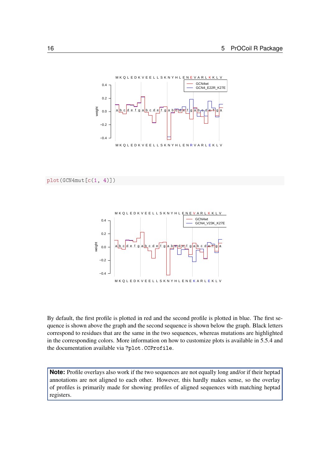

plot(GCN4mut[c(1, 4)])



By default, the first profile is plotted in red and the second profile is plotted in blue. The first sequence is shown above the graph and the second sequence is shown below the graph. Black letters correspond to residues that are the same in the two sequences, whereas mutations are highlighted in the corresponding colors. More information on how to customize plots is available in [5.5.4](#page-18-0) and the documentation available via ?plot.CCProfile.

**Note:** Profile overlays also work if the two sequences are not equally long and/or if their heptad annotations are not aligned to each other. However, this hardly makes sense, so the overlay of profiles is primarily made for showing profiles of aligned sequences with matching heptad registers.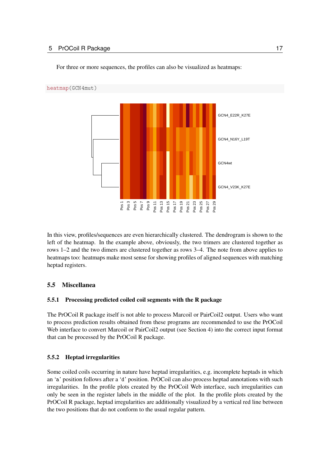## 5 PrOCoil R Package 17



For three or more sequences, the profiles can also be visualized as heatmaps:

In this view, profiles/sequences are even hierarchically clustered. The dendrogram is shown to the left of the heatmap. In the example above, obviously, the two trimers are clustered together as rows 1–2 and the two dimers are clustered together as rows 3–4. The note from above applies to heatmaps too: heatmaps make most sense for showing profiles of aligned sequences with matching heptad registers.

# <span id="page-16-0"></span>5.5 Miscellanea

# <span id="page-16-1"></span>5.5.1 Processing predicted coiled coil segments with the R package

The PrOCoil R package itself is not able to process Marcoil or PairCoil2 output. Users who want to process prediction results obtained from these programs are recommended to use the PrOCoil Web interface to convert Marcoil or PairCoil2 output (see Section [4\)](#page-6-0) into the correct input format that can be processed by the PrOCoil R package.

# <span id="page-16-2"></span>5.5.2 Heptad irregularities

Some coiled coils occurring in nature have heptad irregularities, e.g. incomplete heptads in which an 'a' position follows after a 'd' position. PrOCoil can also process heptad annotations with such irregularities. In the profile plots created by the PrOCoil Web interface, such irregularities can only be seen in the register labels in the middle of the plot. In the profile plots created by the PrOCoil R package, heptad irregularities are additionally visualized by a vertical red line between the two positions that do not conform to the usual regular pattern.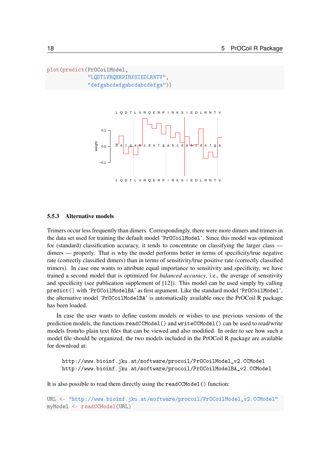```
plot(predict(PrOCoilModel,
             "LQDTLVRQERPIRKSIEDLRNTV",
             "defgabcdefgabcdabcdefga"))
```


# <span id="page-17-0"></span>5.5.3 Alternative models

Trimers occur less frequently than dimers. Correspondingly, there were more dimers and trimers in the data set used for training the default model 'PrOCoilModel'. Since this model was optimized for (standard) classification accuracy, it tends to concentrate on classifying the larger class dimers — properly. That is why the model performs better in terms of specificity/true negative rate (correctly classified dimers) than in terms of sensitivity/true positive rate (correctly classified trimers). In case one wants to attribute equal importance to sensitivity and specificity, we have trained a second model that is optimized for *balanced accuracy*, i.e., the average of sensitivity and specificity (see publication supplement of [\[12\]](#page-26-0)). This model can be used simply by calling predict() with 'PrOCoilModelBA' as first argument. Like the standard model 'PrOCoilModel', the alternative model 'PrOCoilModelBA' is automatically available once the PrOCoil R package has been loaded.

In case the user wants to define custom models or wishes to use previous versions of the prediction models, the functions readCCModel() and writeCCModel() can be used to read/write models from/to plain text files that can be viewed and also modified. In order to see how such a model file should be organized, the two models included in the PrOCoil R package are available for download at:

[http://www.bioinf.jku.at/software/procoil/PrOCoilModel\\_v2.CCModel](http://www.bioinf.jku.at/software/procoil/PrOCoilModel_v2.CCModel) [http://www.bioinf.jku.at/software/procoil/PrOCoilModelBA\\_v2.CCModel](http://www.bioinf.jku.at/software/procoil/PrOCoilModelBA_v2.CCModel)

It is also possible to read them directly using the readCCModel() function:

URL <- "http://www.bioinf.jku.at/software/procoil/PrOCoilModel\_v2.CCModel" myModel <- readCCModel(URL)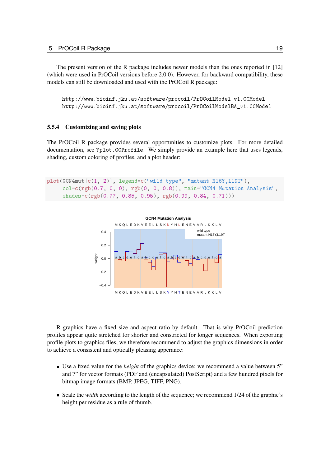The present version of the R package includes newer models than the ones reported in [\[12\]](#page-26-0) (which were used in PrOCoil versions before 2.0.0). However, for backward compatibility, these models can still be downloaded and used with the PrOCoil R package:

[http://www.bioinf.jku.at/software/procoil/PrOCoilModel\\_v1.CCModel](http://www.bioinf.jku.at/software/procoil/PrOCoilModel_v1.CCModel) [http://www.bioinf.jku.at/software/procoil/PrOCoilModelBA\\_v1.CCModel](http://www.bioinf.jku.at/software/procoil/PrOCoilModelBA_v1.CCModel)

#### <span id="page-18-0"></span>5.5.4 Customizing and saving plots

The PrOCoil R package provides several opportunities to customize plots. For more detailed documentation, see ?plot.CCProfile. We simply provide an example here that uses legends, shading, custom coloring of profiles, and a plot header:

```
plot(GCN4mut[c(1, 2)], legend=c("wild type", "mutant N16Y,L19T"),
     col=c(rgb(0.7, 0, 0), rgb(0, 0, 0.8)), main="GCN4 Mutation Analysis",
     shades=c(rgb(0.77, 0.85, 0.95), rgb(0.99, 0.84, 0.71)))
```


R graphics have a fixed size and aspect ratio by default. That is why PrOCoil prediction profiles appear quite stretched for shorter and constricted for longer sequences. When exporting profile plots to graphics files, we therefore recommend to adjust the graphics dimensions in order to achieve a consistent and optically pleasing apperance:

- Use a fixed value for the *height* of the graphics device; we recommend a value between 5" and 7" for vector formats (PDF and (encapsulated) PostScript) and a few hundred pixels for bitmap image formats (BMP, JPEG, TIFF, PNG).
- Scale the *width* according to the length of the sequence; we recommend 1/24 of the graphic's height per residue as a rule of thumb.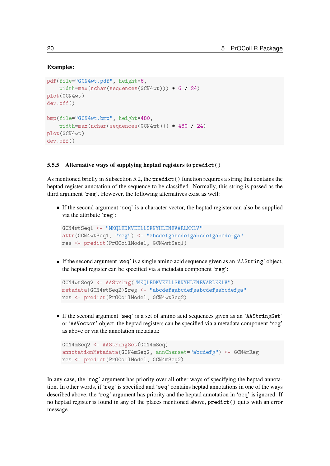#### Examples:

```
pdf(file="GCN4wt.pdf", height=6,
    width=max(nchar(sequences(GCN4wt))) * 6 / 24plot(GCN4wt)
dev.off()
bmp(file="GCN4wt.bmp", height=480,
    width=max(nchar(sequences(GCN4wt))) * 480 / 24)
plot(GCN4wt)
dev.off()
```
#### <span id="page-19-0"></span>5.5.5 Alternative ways of supplying heptad registers to predict()

As mentioned briefly in Subsection [5.2,](#page-10-2) the predict() function requires a string that contains the heptad register annotation of the sequence to be classified. Normally, this string is passed as the third argument 'reg'. However, the following alternatives exist as well:

If the second argument 'seq' is a character vector, the heptad register can also be supplied via the attribute 'reg':

```
GCN4wtSeq1 <- "MKQLEDKVEELLSKNYHLENEVARLKKLV"
attr(GCN4wtSeq1, "reg") <- "abcdefgabcdefgabcdefgabcdefga"
res <- predict(PrOCoilModel, GCN4wtSeq1)
```
If the second argument 'seq' is a single amino acid sequence given as an 'AAString' object, the heptad register can be specified via a metadata component 'reg':

```
GCN4wtSeq2 <- AAString("MKQLEDKVEELLSKNYHLENEVARLKKLV")
metadata(GCN4wtSeq2)$reg <- "abcdefgabcdefgabcdefgabcdefga"
res <- predict(PrOCoilModel, GCN4wtSeq2)
```
If the second argument 'seq' is a set of amino acid sequences given as an 'AAStringSet' or 'AAVector' object, the heptad registers can be specified via a metadata component 'reg' as above or via the annotation metadata:

```
GCN4mSeq2 <- AAStringSet(GCN4mSeq)
annotationMetadata(GCN4mSeq2, annCharset="abcdefg") <- GCN4mReg
res <- predict(PrOCoilModel, GCN4mSeq2)
```
In any case, the 'reg' argument has priority over all other ways of specifying the heptad annotation. In other words, if 'reg' is specified and 'seq' contains heptad annotations in one of the ways described above, the 'reg' argument has priority and the heptad annotation in 'seq' is ignored. If no heptad register is found in any of the places mentioned above, predict() quits with an error message.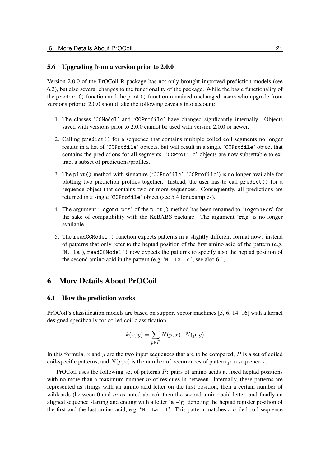### <span id="page-20-0"></span>5.6 Upgrading from a version prior to 2.0.0

Version 2.0.0 of the PrOCoil R package has not only brought improved prediction models (see [6.2\)](#page-21-0), but also several changes to the functionality of the package. While the basic functionality of the predict() function and the plot() function remained unchanged, users who upgrade from versions prior to 2.0.0 should take the following caveats into account:

- 1. The classes 'CCModel' and 'CCProfile' have changed signficantly internally. Objects saved with versions prior to 2.0.0 cannot be used with version 2.0.0 or newer.
- 2. Calling predict() for a sequence that contains multiple coiled coil segments no longer results in a list of 'CCProfile' objects, but will result in a single 'CCProfile' object that contains the predictions for all segments. 'CCProfile' objects are now subsettable to extract a subset of predictions/profiles.
- 3. The plot() method with signature ('CCProfile', 'CCProfile') is no longer available for plotting two prediction profiles together. Instead, the user has to call predict() for a sequence object that contains two or more sequences. Consequently, all predictions are returned in a single 'CCProfile' object (see [5.4](#page-13-0) for examples).
- 4. The argument 'legend.pos' of the plot() method has been renamed to 'legendPos' for the sake of compatibility with the KeBABS package. The argument 'rng' is no longer available.
- 5. The readCCModel() function expects patterns in a slightly different format now: instead of patterns that only refer to the heptad position of the first amino acid of the pattern (e.g. 'N..La'), readCCModel() now expects the patterns to specify also the heptad position of the second amino acid in the pattern (e.g. 'N..La..d'; see also [6.1\)](#page-20-2).

# <span id="page-20-1"></span>6 More Details About PrOCoil

#### <span id="page-20-2"></span>6.1 How the prediction works

PrOCoil's classification models are based on support vector machines [\[5,](#page-25-3) [6,](#page-26-4) [14,](#page-26-5) [16\]](#page-26-6) with a kernel designed specifically for coiled coil classification:

$$
k(x,y) = \sum_{p \in P} N(p,x) \cdot N(p,y)
$$

In this formula, x and y are the two input sequences that are to be compared,  $P$  is a set of coiled coil-specific patterns, and  $N(p, x)$  is the number of occurrences of pattern p in sequence x.

PrOCoil uses the following set of patterns P: pairs of amino acids at fixed heptad positions with no more than a maximum number  $m$  of residues in between. Internally, these patterns are represented as strings with an amino acid letter on the first position, then a certain number of wildcards (between 0 and  $m$  as noted above), then the second amino acid letter, and finally an aligned sequence starting and ending with a letter 'a'-'g' denoting the heptad register position of the first and the last amino acid, e.g. "N..La..d". This pattern matches a coiled coil sequence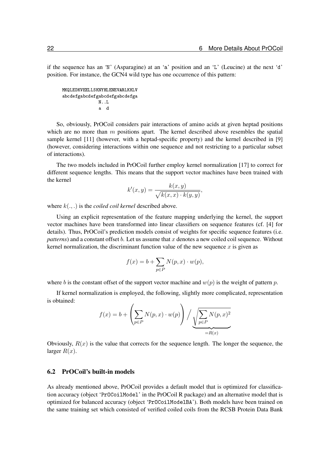if the sequence has an 'N' (Asparagine) at an 'a' position and an 'L' (Leucine) at the next 'd' position. For instance, the GCN4 wild type has one occurrence of this pattern:

```
MKQLEDKVEELLSKNYHLENEVARLKKLV
abcdefgabcdefgabcdefgabcdefga
             N..L
              a d
```
So, obviously, PrOCoil considers pair interactions of amino acids at given heptad positions which are no more than  $m$  positions apart. The kernel described above resembles the spatial sample kernel [\[11\]](#page-26-7) (however, with a heptad-specific property) and the kernel described in [\[9\]](#page-26-8) (however, considering interactions within one sequence and not restricting to a particular subset of interactions).

The two models included in PrOCoil further employ kernel normalization [\[17\]](#page-26-9) to correct for different sequence lengths. This means that the support vector machines have been trained with the kernel

$$
k'(x, y) = \frac{k(x, y)}{\sqrt{k(x, x) \cdot k(y, y)}},
$$

where k(., .) is the *coiled coil kernel* described above.

Using an explicit representation of the feature mapping underlying the kernel, the support vector machines have been transformed into linear classifiers on sequence features (cf. [\[4\]](#page-25-4) for details). Thus, PrOCoil's prediction models consist of weights for specific sequence features (i.e. *patterns*) and a constant offset  $b$ . Let us assume that  $x$  denotes a new coiled coil sequence. Without kernel normalization, the discriminant function value of the new sequence  $x$  is given as

$$
f(x) = b + \sum_{p \in P} N(p, x) \cdot w(p),
$$

where b is the constant offset of the support vector machine and  $w(p)$  is the weight of pattern p.

If kernel normalization is employed, the following, slightly more complicated, representation is obtained:

$$
f(x) = b + \left(\sum_{p \in P} N(p, x) \cdot w(p)\right) / \underbrace{\sqrt{\sum_{p \in P} N(p, x)^2}}_{=R(x)}
$$

Obviously,  $R(x)$  is the value that corrects for the sequence length. The longer the sequence, the larger  $R(x)$ .

#### <span id="page-21-0"></span>6.2 PrOCoil's built-in models

As already mentioned above, PrOCoil provides a default model that is optimized for classification accuracy (object 'PrOCoilModel' in the PrOCoil R package) and an alternative model that is optimized for balanced accuracy (object 'PrOCoilModelBA'). Both models have been trained on the same training set which consisted of verified coiled coils from the RCSB Protein Data Bank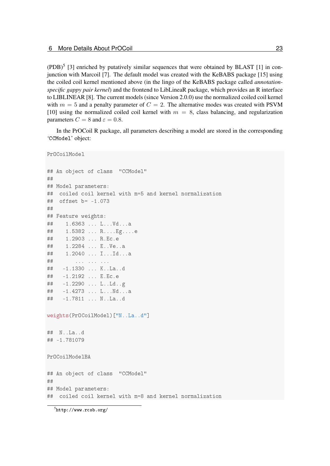$(PDB)^5$  $(PDB)^5$  [\[3\]](#page-25-5) enriched by putatively similar sequences that were obtained by BLAST [\[1\]](#page-25-6) in conjunction with Marcoil [\[7\]](#page-26-2). The default model was created with the KeBABS package [\[15\]](#page-26-10) using the coiled coil kernel mentioned above (in the lingo of the KeBABS package called *annotationspecific gappy pair kernel*) and the frontend to LibLineaR package, which provides an R interface to LIBLINEAR [\[8\]](#page-26-11). The current models (since Version 2.0.0) use the normalized coiled coil kernel with  $m = 5$  and a penalty parameter of  $C = 2$ . The alternative modes was created with PSVM [\[10\]](#page-26-12) using the normalized coiled coil kernel with  $m = 8$ , class balancing, and regularization parameters  $C = 8$  and  $\varepsilon = 0.8$ .

In the PrOCoil R package, all parameters describing a model are stored in the corresponding 'CCModel' object:

```
PrOCoilModel
## An object of class "CCModel"
##
## Model parameters:
## coiled coil kernel with m=5 and kernel normalization
## offset b= -1.073
##
## Feature weights:
## 1.6363 ... L...Vd...a
## 1.5382 ... R....Eg....e
## 1.2903 ... R.Ec.e
## 1.2284 ... E..Ve..a
## 1.2040 ... I...Id...a
## ... ... ... ...
## -1.1330 ... K..La..d
## -1.2192 ... E.Ec.e
## -1.2290 ... L..Ld..g
## -1.4273 ... L...Nd...a
## -1.7811 ... N..La..d
weights(PrOCoilModel)["N..La..d"]
## N..La..d
## -1.781079
PrOCoilModelBA
## An object of class "CCModel"
##
## Model parameters:
## coiled coil kernel with m=8 and kernel normalization
```
<span id="page-22-0"></span> $^{5}$ <http://www.rcsb.org/>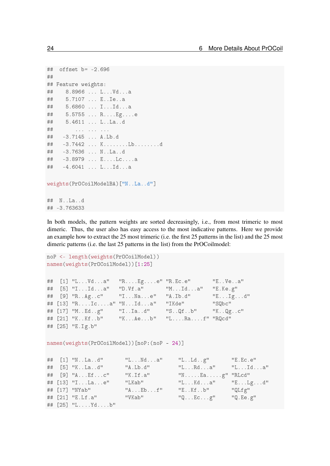```
## offset b= -2.696
##
## Feature weights:
## 8.8966 ... L...Vd...a
## 5.7107 ... E..Ie..a
## 5.6860 ... I...Id...a
## 5.5755 ... R....Eg....e
## 5.4611 ... L..La..d
## ... ... ... ...
## -3.7145 ... A.Lb.d
## -3.7442 ... K........Lb........d
## -3.7636 ... N..La..d
## -3.8979 ... E....Lc....a
## -4.6041 ... L...Id...a
weights(PrOCoilModelBA)["N..La..d"]
```
## N..La..d ## -3.763633

In both models, the pattern weights are sorted decreasingly, i.e., from most trimeric to most dimeric. Thus, the user also has easy access to the most indicative patterns. Here we provide an example how to extract the 25 most trimeric (i.e. the first 25 patterns in the list) and the 25 most dimeric patterns (i.e. the last 25 patterns in the list) from the PrOCoilmodel:

```
noP <- length(weights(PrOCoilModel))
names(weights(PrOCoilModel))[1:25]
## [1] "L...Vd...a" "R....Eg....e" "R.Ec.e" "E..Ve..a"
## [5] "I...Id...a" "D.Vf.a" "M...Id...a" "E.Ke.g"
## [9] "R..Ag..c" "I...Na...e" "A.Ib.d" "E...Ig...d"
## [13] "R....Ic....a" "N...Id...a" "IKde" "SQbc"
## [17] "M..Ed..g" "I..Ia..d" "S..Qf..b" "K..Qg..c"
## [21] "K..Kf..b" "K...Ae...b" "L....Ra....f" "RQcd"
## [25] "E.Ig.b"
names(weights(PrOCoilModel))[noP:(noP - 24)]
## [1] "N..La..d" "L...Nd...a" "L..Ld..g" "E.Ec.e"
## [5] "K..La..d" "A.Lb.d" "L...Rd...a" "L...Id...a"
## [9] "A...Ef...c" "K.If.a" "N.....Ea.....g" "RLcd"
## [13] "I...La...e" "LKab" "L...Kd...a" "E...Lg...d"
## [17] "NYab" "A...Eb...f" "E..Kf..b" "QLfg"
## [21] "E.Lf.a" "VKab" "Q...Ec...g" "Q.Ee.g"
## [25] "L....Yd....b"
```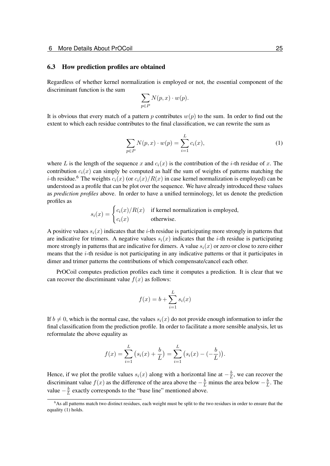#### <span id="page-24-0"></span>6.3 How prediction profiles are obtained

Regardless of whether kernel normalization is employed or not, the essential component of the discriminant function is the sum

$$
\sum_{p \in P} N(p,x) \cdot w(p).
$$

It is obvious that every match of a pattern p contributes  $w(p)$  to the sum. In order to find out the extent to which each residue contributes to the final classification, we can rewrite the sum as

<span id="page-24-2"></span>
$$
\sum_{p \in P} N(p, x) \cdot w(p) = \sum_{i=1}^{L} c_i(x),
$$
 (1)

where L is the length of the sequence x and  $c_i(x)$  is the contribution of the i-th residue of x. The contribution  $c_i(x)$  can simply be computed as half the sum of weights of patterns matching the *i*-th residue.<sup>[6](#page-24-1)</sup> The weights  $c_i(x)$  (or  $c_i(x)/R(x)$  in case kernel normalization is employed) can be understood as a profile that can be plot over the sequence. We have already introduced these values as *prediction profiles* above. In order to have a unified terminology, let us denote the prediction profiles as

> $s_i(x) = \begin{cases} c_i(x)/R(x) & \text{if Kernel normalization is employed,} \\ c_i(x) & \text{otherwise.} \end{cases}$  $c_i(x)$  otherwise.

A positive values  $s_i(x)$  indicates that the *i*-th residue is participating more strongly in patterns that are indicative for trimers. A negative values  $s_i(x)$  indicates that the *i*-th residue is participating more strongly in patterns that are indicative for dimers. A value  $s_i(x)$  or zero or close to zero either means that the i-th residue is not participating in any indicative patterns or that it participates in dimer and trimer patterns the contributions of which compensate/cancel each other.

PrOCoil computes prediction profiles each time it computes a prediction. It is clear that we can recover the discriminant value  $f(x)$  as follows:

$$
f(x) = b + \sum_{i=1}^{L} s_i(x)
$$

If  $b \neq 0$ , which is the normal case, the values  $s_i(x)$  do not provide enough information to infer the final classification from the prediction profile. In order to facilitate a more sensible analysis, let us reformulate the above equality as

$$
f(x) = \sum_{i=1}^{L} (s_i(x) + \frac{b}{L}) = \sum_{i=1}^{L} (s_i(x) - (-\frac{b}{L})).
$$

Hence, if we plot the profile values  $s_i(x)$  along with a horizontal line at  $-\frac{b}{l}$  $\frac{b}{L}$ , we can recover the discriminant value  $f(x)$  as the difference of the area above the  $-\frac{b}{L}$  minus the area below  $-\frac{b}{L}$  $\frac{b}{L}$ . The value  $-\frac{b}{l}$  $\frac{b}{L}$  exactly corresponds to the "base line" mentioned above.

<span id="page-24-1"></span><sup>&</sup>lt;sup>6</sup>As all patterns match two distinct residues, each weight must be split to the two residues in order to ensure that the equality [\(1\)](#page-24-2) holds.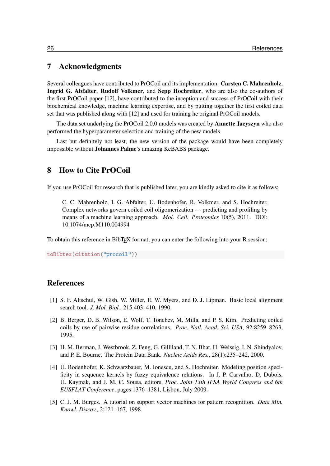# <span id="page-25-0"></span>7 Acknowledgments

Several colleagues have contributed to PrOCoil and its implementation: Carsten C. Mahrenholz, Ingrid G. Abfalter, Rudolf Volkmer, and Sepp Hochreiter, who are also the co-authors of the first PrOCoil paper [\[12\]](#page-26-0), have contributed to the inception and success of PrOCoil with their biochemical knowledge, machine learning expertise, and by putting together the first coiled data set that was published along with [\[12\]](#page-26-0) and used for training he original PrOCoil models.

The data set underlying the PrOCoil 2.0.0 models was created by Annette Jacyszyn who also performed the hyperparameter selection and training of the new models.

Last but definitely not least, the new version of the package would have been completely impossible without Johannes Palme's amazing KeBABS package.

# <span id="page-25-1"></span>8 How to Cite PrOCoil

If you use PrOCoil for research that is published later, you are kindly asked to cite it as follows:

C. C. Mahrenholz, I. G. Abfalter, U. Bodenhofer, R. Volkmer, and S. Hochreiter. Complex networks govern coiled coil oligomerization — predicting and profiling by means of a machine learning approach. *Mol. Cell. Proteomics* 10(5), 2011. DOI: [10.1074/mcp.M110.004994](http://dx.doi.org/10.1074/mcp.M110.004994)

To obtain this reference in BibTEX format, you can enter the following into your R session:

toBibtex(citation("procoil"))

# References

- <span id="page-25-6"></span>[1] S. F. Altschul, W. Gish, W. Miller, E. W. Myers, and D. J. Lipman. Basic local alignment search tool. *J. Mol. Biol.*, 215:403–410, 1990.
- <span id="page-25-2"></span>[2] B. Berger, D. B. Wilson, E. Wolf, T. Tonchev, M. Milla, and P. S. Kim. Predicting coiled coils by use of pairwise residue correlations. *Proc. Natl. Acad. Sci. USA*, 92:8259–8263, 1995.
- <span id="page-25-5"></span>[3] H. M. Berman, J. Westbrook, Z. Feng, G. Gilliland, T. N. Bhat, H. Weissig, I. N. Shindyalov, and P. E. Bourne. The Protein Data Bank. *Nucleic Acids Res.*, 28(1):235–242, 2000.
- <span id="page-25-4"></span>[4] U. Bodenhofer, K. Schwarzbauer, M. Ionescu, and S. Hochreiter. Modeling position specificity in sequence kernels by fuzzy equivalence relations. In J. P. Carvalho, D. Dubois, U. Kaymak, and J. M. C. Sousa, editors, *Proc. Joint 13th IFSA World Congress and 6th EUSFLAT Conference*, pages 1376–1381, Lisbon, July 2009.
- <span id="page-25-3"></span>[5] C. J. M. Burges. A tutorial on support vector machines for pattern recognition. *Data Min. Knowl. Discov.*, 2:121–167, 1998.